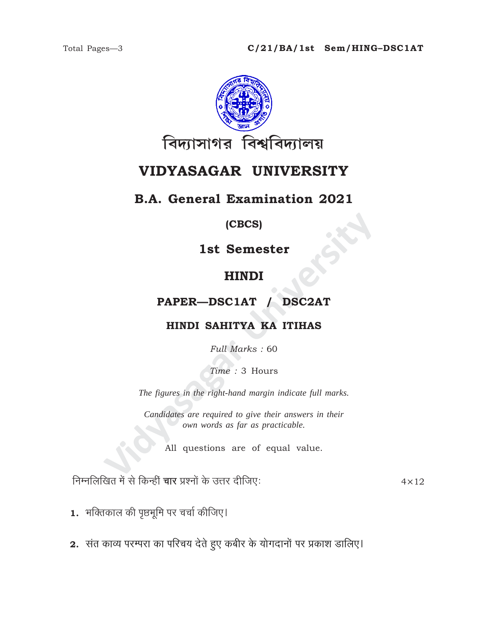

# VIDYASAGAR UNIVERSITY

## **B.A. General Examination 2021**

### (CBCS)

1st Semester

# **HINDI**

## PAPER-DSC1AT / DSC2AT

### HINDI SAHITYA KA ITIHAS

Full Marks: 60

Time: 3 Hours

The figures in the right-hand margin indicate full marks.

Candidates are required to give their answers in their own words as far as practicable.

All questions are of equal value.

निम्नलिखित में से किन्हीं चार प्रश्नों के उत्तर दीजिए:

 $4 \times 12$ 

- 1. भक्तिकाल की पृष्ठभूमि पर चर्चा कीजिए।
- 2. संत काव्य परम्परा का परिचय देते हुए कबीर के योगदानों पर प्रकाश डालिए।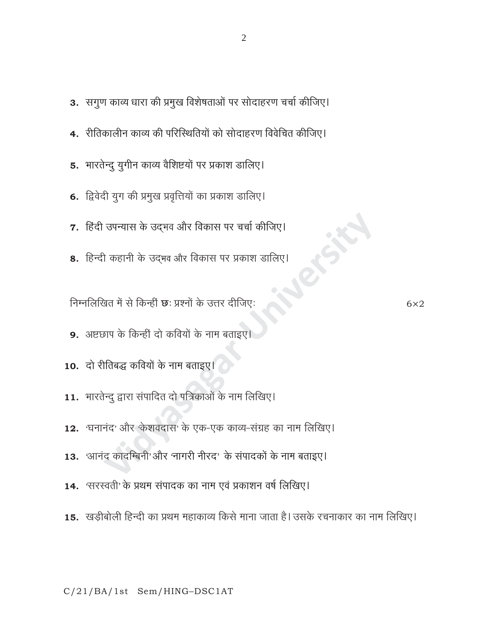- 3. सगुण काव्य धारा की प्रमुख विशेषताओं पर सोदाहरण चर्चा कीजिए।
- 4. रीतिकालीन काव्य की परिस्थितियों को सोदाहरण विवेचित कीजिए।
- 5. भारतेन्दु युगीन काव्य वैशिष्टयों पर प्रकाश डालिए।
- 6. द्विवेदी युग की प्रमुख प्रवृत्तियों का प्रकाश डालिए।
- 7. हिंदी उपन्यास के उद्भव और विकास पर चर्चा कीजिए।
- 8. हिन्दी कहानी के उद्भव और विकास पर प्रकाश डालिए।

निम्नलिखित में से किन्हीं <mark>छ</mark>: प्रश्नों के उत्तर दीजिए:

- 9. अष्टछाप के किन्हीं दो कवियों के नाम बताइए
- 10. दो रीतिबद्ध कवियों के नाम बताइए।
- 11. भारतेन्दु द्वारा संपादित दो पत्रिकाओं के नाम लिखिए।
- 12. 'घनानंद' और 'केशवदास' के एक-एक काव्य-संग्रह का नाम लिखिए।
- 13. 'आनंद कादम्बिनी' और 'नागरी नीरद' के संपादकों के नाम बताइए।
- 14. 'सरस्वती' के प्रथम संपादक का नाम एवं प्रकाशन वर्ष लिखिए।
- 15. खड़ीबोली हिन्दी का प्रथम महाकाव्य किसे माना जाता है। उसके रचनाकार का नाम लिखिए।

 $6\times2$